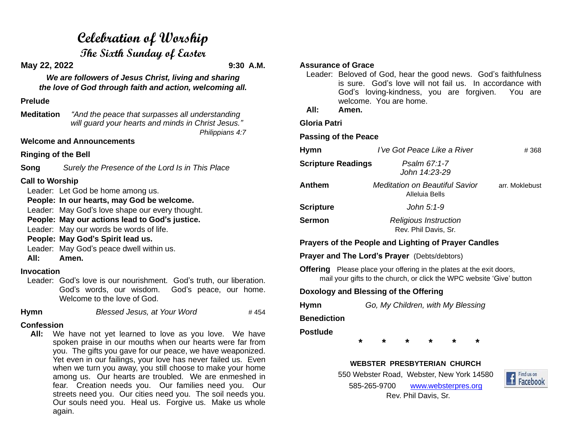# **Celebration of Worship**

**The Sixth Sunday of Easter**

**May 22, 2022 9:30 A.M.**

*We are followers of Jesus Christ, living and sharing the love of God through faith and action, welcoming all.*

#### **Prelude**

**Meditation** *"And the peace that surpasses all understanding will guard your hearts and minds in Christ Jesus." Philippians 4:7*

#### **Welcome and Announcements**

**Ringing of the Bell**

**Song** *Surely the Presence of the Lord Is in This Place*

# **Call to Worship**

Leader: Let God be home among us.

**People: In our hearts, may God be welcome.**

Leader: May God's love shape our every thought.

**People: May our actions lead to God's justice.**

Leader: May our words be words of life.

**People: May God's Spirit lead us.**

- Leader: May God's peace dwell within us.
- **All: Amen.**

## **Invocation**

Leader: God's love is our nourishment. God's truth, our liberation. God's words, our wisdom. God's peace, our home. Welcome to the love of God.

**Hymn** *Blessed Jesus, at Your Word* # 454

## **Confession**

 **All:** We have not yet learned to love as you love. We have spoken praise in our mouths when our hearts were far from you. The gifts you gave for our peace, we have weaponized. Yet even in our failings, your love has never failed us. Even when we turn you away, you still choose to make your home among us. Our hearts are troubled. We are enmeshed in fear. Creation needs you. Our families need you. Our streets need you. Our cities need you. The soil needs you. Our souls need you. Heal us. Forgive us. Make us whole again.

#### **Assurance of Grace**

- Leader: Beloved of God, hear the good news. God's faithfulness is sure. God's love will not fail us. In accordance with God's loving-kindness, you are forgiven. You are welcome. You are home.
- **All: Amen.**

**Gloria Patri**

**Passing of the Peace**

| <b>Hymn</b>               | I've Got Peace Like a River                             | #368           |
|---------------------------|---------------------------------------------------------|----------------|
| <b>Scripture Readings</b> | Psalm 67:1-7<br>John 14:23-29                           |                |
| Anthem                    | <b>Meditation on Beautiful Savior</b><br>Alleluia Bells | arr. Moklebust |
| <b>Scripture</b>          | John 5:1-9                                              |                |
| <b>Sermon</b>             | <b>Religious Instruction</b><br>Rev. Phil Davis, Sr.    |                |

# **Prayers of the People and Lighting of Prayer Candles**

**Prayer and The Lord's Prayer** (Debts/debtors)

**Offering** Please place your offering in the plates at the exit doors, mail your gifts to the church, or click the WPC website 'Give' button

# **Doxology and Blessing of the Offering**

**Hymn** *Go, My Children, with My Blessing*

**Benediction**

## **Postlude**

**\* \* \* \* \* \***

## **WEBSTER PRESBYTERIAN CHURCH**

550 Webster Road, Webster, New York 14580 585-265-9700 [www.websterpres.org](http://www.websterpres.org/) Rev. Phil Davis, Sr.

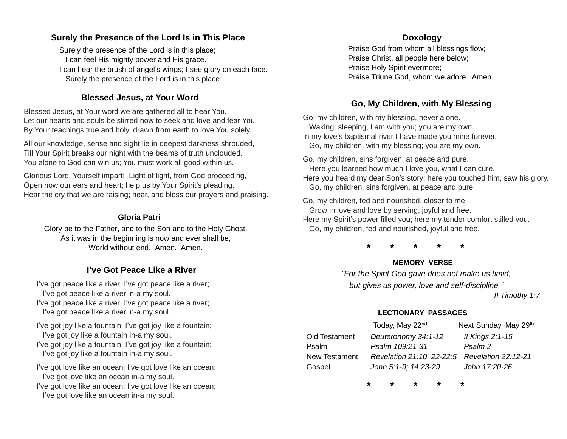## **Surely the Presence of the Lord Is in This Place**

Surely the presence of the Lord is in this place; I can feel His mighty power and His grace.

I can hear the brush of angel's wings; I see glory on each face. Surely the presence of the Lord is in this place.

## **Blessed Jesus, at Your Word**

Blessed Jesus, at Your word we are gathered all to hear You. Let our hearts and souls be stirred now to seek and love and fear You. By Your teachings true and holy, drawn from earth to love You solely.

All our knowledge, sense and sight lie in deepest darkness shrouded, Till Your Spirit breaks our night with the beams of truth unclouded. You alone to God can win us; You must work all good within us.

Glorious Lord, Yourself impart! Light of light, from God proceeding, Open now our ears and heart; help us by Your Spirit's pleading. Hear the cry that we are raising; hear, and bless our prayers and praising.

#### **Gloria Patri**

Glory be to the Father, and to the Son and to the Holy Ghost. As it was in the beginning is now and ever shall be, World without end. Amen. Amen.

## **I've Got Peace Like a River**

I've got peace like a river; I've got peace like a river; I've got peace like a river in-a my soul. I've got peace like a river; I've got peace like a river; I've got peace like a river in-a my soul.

I've got joy like a fountain; I've got joy like a fountain; I've got joy like a fountain in-a my soul. I've got joy like a fountain; I've got joy like a fountain; I've got joy like a fountain in-a my soul.

I've got love like an ocean; I've got love like an ocean; I've got love like an ocean in-a my soul.

I've got love like an ocean; I've got love like an ocean; I've got love like an ocean in-a my soul.

## **Doxology**

Praise God from whom all blessings flow; Praise Christ, all people here below; Praise Holy Spirit evermore; Praise Triune God, whom we adore. Amen.

# **Go, My Children, with My Blessing**

Go, my children, with my blessing, never alone. Waking, sleeping, I am with you; you are my own. In my love's baptismal river I have made you mine forever. Go, my children, with my blessing; you are my own.

Go, my children, sins forgiven, at peace and pure. Here you learned how much I love you, what I can cure. Here you heard my dear Son's story; here you touched him, saw his glory. Go, my children, sins forgiven, at peace and pure.

Go, my children, fed and nourished, closer to me. Grow in love and love by serving, joyful and free. Here my Spirit's power filled you; here my tender comfort stilled you. Go, my children, fed and nourished, joyful and free.

**\* \* \* \* \***

## **MEMORY VERSE**

*"For the Spirit God gave does not make us timid, but gives us power, love and self-discipline."*

 *II Timothy 1:7*

#### **LECTIONARY PASSAGES**

|               | Today, May 22 <sup>nd</sup>                   | Next Sunday, May 29th |
|---------------|-----------------------------------------------|-----------------------|
| Old Testament | Deuteronomy 34:1-12                           | Il Kings 2:1-15       |
| Psalm         | Psalm 109:21-31                               | Psalm 2               |
| New Testament | Revelation 21:10, 22-22:5 Revelation 22:12-21 |                       |
| Gospel        | John 5:1-9: 14:23-29                          | John 17:20-26         |

**\* \* \* \* \***